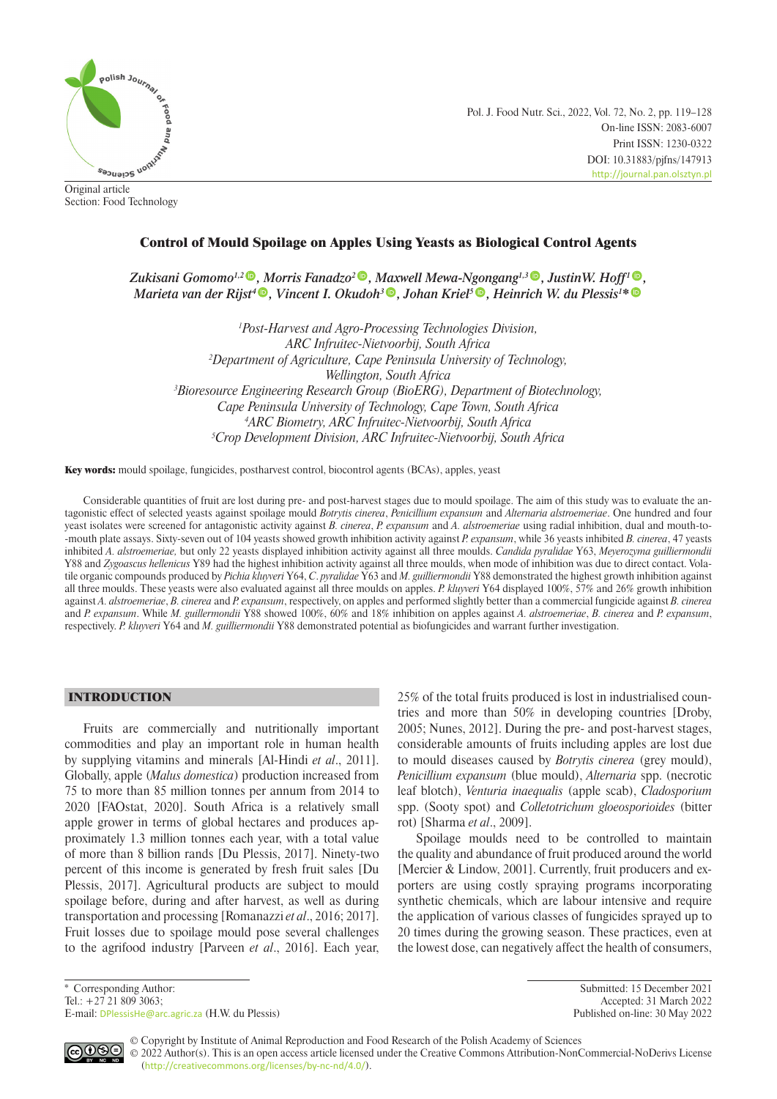

Original article Section: Food Technology Pol. J. Food Nutr. Sci., 2022, Vol. 72, No. 2, pp. 119–128 On-line ISSN: 2083-6007 Print ISSN: 1230-0322 DOI: 10.31883/pjfns/147913 <http://journal.pan.olsztyn.pl>

# Control of Mould Spoilage on Apples Using Yeasts as Biological Control Agents

*Zukisani Gomomo<sup>1[,](https://orcid.org/0000-0001-7777-7078)2</sup><sup>®</sup>, Morris Fanadzo<sup>2</sup><sup>®</sup>, Maxwell Mewa-Ngongang<sup>1,[3](https://orcid.org/0000-0003-2588-3973)</sup><sup>®</sup>, JustinW. Hoff<sup>[1](https://orcid.org/0000-0002-7354-6413)</sup><sup>®</sup>, Marieta van der Rijst[4](https://orcid.org/0000-0002-4027-5194) , Vincent I. Okudoh<sup>3</sup> , Johan Kriel[5](https://orcid.org/0000-0001-7744-0037) , Heinrich W. du Plessis<sup>1</sup>* [\\*](https://orcid.org/0000-0001-8092-6492)

 *Post-Harvest and Agro-Processing Technologies Division, ARC Infruitec-Nietvoorbij, South Africa Department of Agriculture, Cape Peninsula University of Technology, Wellington, South Africa Bioresource Engineering Research Group (BioERG), Department of Biotechnology, Cape Peninsula University of Technology, Cape Town, South Africa ARC Biometry, ARC Infruitec-Nietvoorbij, South Africa Crop Development Division, ARC Infruitec-Nietvoorbij, South Africa*

Key words: mould spoilage, fungicides, postharvest control, biocontrol agents (BCAs), apples, yeast

Considerable quantities of fruit are lost during pre- and post-harvest stages due to mould spoilage. The aim of this study was to evaluate the antagonistic effect of selected yeasts against spoilage mould *Botrytis cinerea*, *Penicillium expansum* and *Alternaria alstroemeriae*. One hundred and four yeast isolates were screened for antagonistic activity against *B. cinerea*, *P. expansum* and *A. alstroemeriae* using radial inhibition, dual and mouth-to- -mouth plate assays. Sixty-seven out of 104 yeasts showed growth inhibition activity against *P. expansum*, while 36 yeasts inhibited *B. cinerea*, 47 yeasts inhibited *A. alstroemeriae,* but only 22 yeasts displayed inhibition activity against all three moulds. *Candida pyralidae* Y63, *Meyerozyma guilliermondii* Y88 and *Zygoascus hellenicus* Y89 had the highest inhibition activity against all three moulds, when mode of inhibition was due to direct contact. Volatile organic compounds produced by *Pichia kluyveri* Y64, *C*. *pyralidae* Y63 and *M. guilliermondii* Y88 demonstrated the highest growth inhibition against all three moulds. These yeasts were also evaluated against all three moulds on apples. *P. kluyveri* Y64 displayed 100%, 57% and 26% growth inhibition against *A. alstroemeriae*, *B. cinerea* and *P. expansum*, respectively, on apples and performed slightly better than a commercial fungicide against *B. cinerea* and *P. expansum*. While *M. guillermondii* Y88 showed 100%, 60% and 18% inhibition on apples against *A. alstroemeriae*, *B. cinerea* and *P. expansum*, respectively. *P. kluyveri* Y64 and *M. guilliermondii* Y88 demonstrated potential as biofungicides and warrant further investigation.

# INTRODUCTION

Fruits are commercially and nutritionally important commodities and play an important role in human health by supplying vitamins and minerals [Al-Hindi *et al*., 2011]. Globally, apple (*Malus domestica*) production increased from 75 to more than 85 million tonnes per annum from 2014 to 2020 [FAOstat, 2020]. South Africa is a relatively small apple grower in terms of global hectares and produces approximately 1.3 million tonnes each year, with a total value of more than 8 billion rands [Du Plessis, 2017]. Ninety-two percent of this income is generated by fresh fruit sales [Du Plessis, 2017]. Agricultural products are subject to mould spoilage before, during and after harvest, as well as during transportation and processing [Romanazzi *et al*., 2016; 2017]. Fruit losses due to spoilage mould pose several challenges to the agrifood industry [Parveen *et al*., 2016]. Each year, 25% of the total fruits produced is lost in industrialised countries and more than 50% in developing countries [Droby, 2005; Nunes, 2012]. During the pre- and post-harvest stages, considerable amounts of fruits including apples are lost due to mould diseases caused by *Botrytis cinerea* (grey mould), *Penicillium expansum* (blue mould), *Alternaria* spp. (necrotic leaf blotch), *Venturia inaequalis* (apple scab), *Cladosporium* spp. (Sooty spot) and *Colletotrichum gloeosporioides* (bitter rot) [Sharma *et al*., 2009].

Spoilage moulds need to be controlled to maintain the quality and abundance of fruit produced around the world [Mercier & Lindow, 2001]. Currently, fruit producers and exporters are using costly spraying programs incorporating synthetic chemicals, which are labour intensive and require the application of various classes of fungicides sprayed up to 20 times during the growing season. These practices, even at the lowest dose, can negatively affect the health of consumers,

E-mail: [DPlessisHe@arc.agric.za](mailto:DPlessisHe%40arc.agric.za?subject=) (H.W. du Plessis) Published on-line: 30 May 2022

\* Corresponding Author: Submitted: 15 December 2021 Accepted: 31 March 2022

ெ

© Copyright by Institute of Animal Reproduction and Food Research of the Polish Academy of Sciences © 2022 Author(s). This is an open access article licensed under the Creative Commons Attribution-NonCommercial-NoDerivs License ([http://creativecommons.org/licenses/by-nc-nd/4.0/](http://creativecommons.org/licenses/by-nc-nd/3.0/)).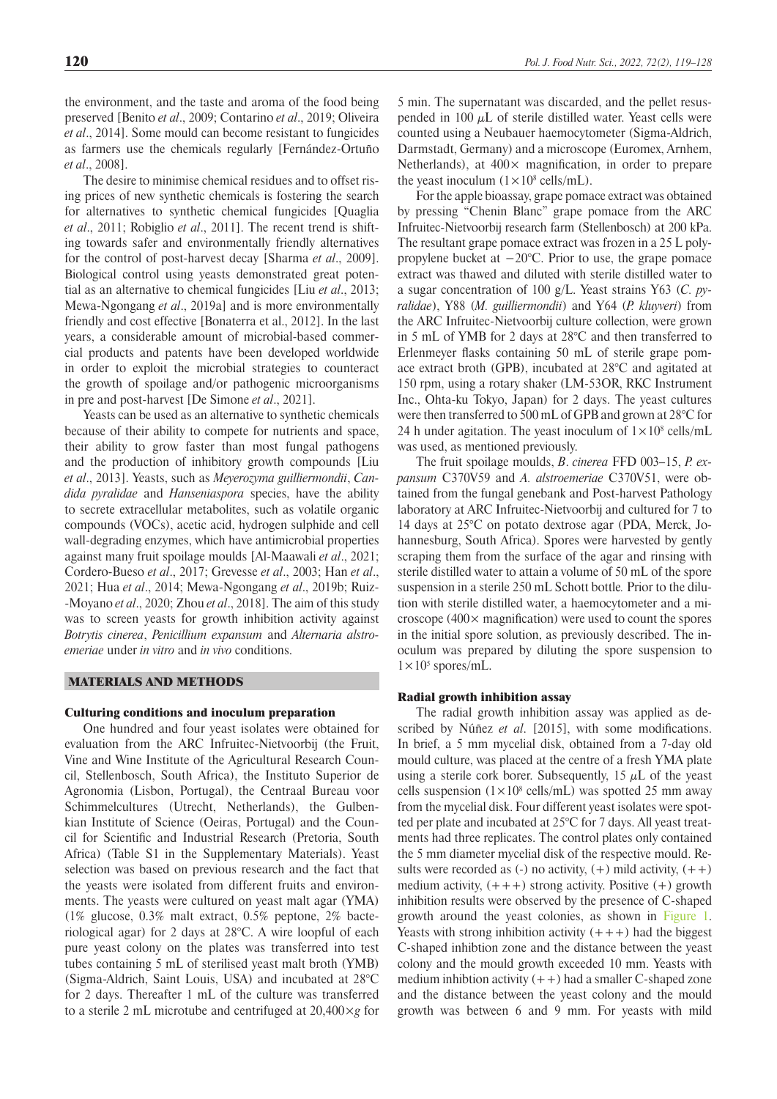the environment, and the taste and aroma of the food being preserved [Benito *et al*., 2009; Contarino *et al*., 2019; Oliveira *et al*., 2014]. Some mould can become resistant to fungicides as farmers use the chemicals regularly [Fernández-Ortuño *et al*., 2008].

The desire to minimise chemical residues and to offset rising prices of new synthetic chemicals is fostering the search for alternatives to synthetic chemical fungicides [Quaglia *et al*., 2011; Robiglio *et al*., 2011]. The recent trend is shifting towards safer and environmentally friendly alternatives for the control of post-harvest decay [Sharma *et al*., 2009]. Biological control using yeasts demonstrated great potential as an alternative to chemical fungicides [Liu *et al*., 2013; Mewa-Ngongang *et al*., 2019a] and is more environmentally friendly and cost effective [Bonaterra et al., 2012]. In the last years, a considerable amount of microbial-based commercial products and patents have been developed worldwide in order to exploit the microbial strategies to counteract the growth of spoilage and/or pathogenic microorganisms in pre and post-harvest [De Simone *et al*., 2021].

Yeasts can be used as an alternative to synthetic chemicals because of their ability to compete for nutrients and space, their ability to grow faster than most fungal pathogens and the production of inhibitory growth compounds [Liu *et al*., 2013]. Yeasts, such as *Meyerozyma guilliermondii*, *Candida pyralidae* and *Hanseniaspora* species, have the ability to secrete extracellular metabolites, such as volatile organic compounds (VOCs), acetic acid, hydrogen sulphide and cell wall-degrading enzymes, which have antimicrobial properties against many fruit spoilage moulds [Al-Maawali *et al*., 2021; Cordero-Bueso *et al*., 2017; Grevesse *et al*., 2003; Han *et al*., 2021; Hua *et al*., 2014; Mewa-Ngongang *et al*., 2019b; Ruiz- -Moyano *et al*., 2020; Zhou *et al*., 2018]. The aim of this study was to screen yeasts for growth inhibition activity against *Botrytis cinerea*, *Penicillium expansum* and *Alternaria alstroemeriae* under *in vitro* and *in vivo* conditions.

## MATERIALS AND METHODS

#### Culturing conditions and inoculum preparation

One hundred and four yeast isolates were obtained for evaluation from the ARC Infruitec-Nietvoorbij (the Fruit, Vine and Wine Institute of the Agricultural Research Council, Stellenbosch, South Africa), the Instituto Superior de Agronomia (Lisbon, Portugal), the Centraal Bureau voor Schimmelcultures (Utrecht, Netherlands), the Gulbenkian Institute of Science (Oeiras, Portugal) and the Council for Scientific and Industrial Research (Pretoria, South Africa) (Table S1 in the Supplementary Materials). Yeast selection was based on previous research and the fact that the yeasts were isolated from different fruits and environments. The yeasts were cultured on yeast malt agar (YMA) (1% glucose, 0.3% malt extract, 0.5% peptone, 2% bacteriological agar) for 2 days at 28°C. A wire loopful of each pure yeast colony on the plates was transferred into test tubes containing 5 mL of sterilised yeast malt broth (YMB) (Sigma-Aldrich, Saint Louis, USA) and incubated at 28°C for 2 days. Thereafter 1 mL of the culture was transferred to a sterile 2 mL microtube and centrifuged at 20,400×*g* for 5 min. The supernatant was discarded, and the pellet resuspended in 100  $\mu$ L of sterile distilled water. Yeast cells were counted using a Neubauer haemocytometer (Sigma-Aldrich, Darmstadt, Germany) and a microscope (Euromex, Arnhem, Netherlands), at  $400 \times$  magnification, in order to prepare the yeast inoculum  $(1 \times 10^8 \text{ cells/mL})$ .

For the apple bioassay, grape pomace extract was obtained by pressing "Chenin Blanc" grape pomace from the ARC Infruitec-Nietvoorbij research farm (Stellenbosch) at 200 kPa. The resultant grape pomace extract was frozen in a 25 L polypropylene bucket at −20°C. Prior to use, the grape pomace extract was thawed and diluted with sterile distilled water to a sugar concentration of 100 g/L. Yeast strains Y63 (*C. pyralidae*), Y88 (*M. guilliermondii*) and Y64 (*P. kluyveri*) from the ARC Infruitec-Nietvoorbij culture collection, were grown in 5 mL of YMB for 2 days at 28°C and then transferred to Erlenmeyer flasks containing 50 mL of sterile grape pomace extract broth (GPB), incubated at 28°C and agitated at 150 rpm, using a rotary shaker (LM-53OR, RKC Instrument Inc., Ohta-ku Tokyo, Japan) for 2 days. The yeast cultures were then transferred to 500 mL of GPB and grown at 28°C for 24 h under agitation. The yeast inoculum of  $1 \times 10^8$  cells/mL was used, as mentioned previously.

The fruit spoilage moulds, *B*. *cinerea* FFD 003–15, *P. expansum* C370V59 and *A. alstroemeriae* C370V51, were obtained from the fungal genebank and Post-harvest Pathology laboratory at ARC Infruitec-Nietvoorbij and cultured for 7 to 14 days at 25°C on potato dextrose agar (PDA, Merck, Johannesburg, South Africa). Spores were harvested by gently scraping them from the surface of the agar and rinsing with sterile distilled water to attain a volume of 50 mL of the spore suspension in a sterile 250 mL Schott bottle*.* Prior to the dilution with sterile distilled water, a haemocytometer and a microscope ( $400 \times$  magnification) were used to count the spores in the initial spore solution, as previously described. The inoculum was prepared by diluting the spore suspension to  $1 \times 10^5$  spores/mL.

### Radial growth inhibition assay

The radial growth inhibition assay was applied as described by Núñez *et al*. [2015], with some modifications. In brief, a 5 mm mycelial disk, obtained from a 7-day old mould culture, was placed at the centre of a fresh YMA plate using a sterile cork borer. Subsequently,  $15 \mu L$  of the yeast cells suspension  $(1 \times 10^8 \text{ cells/mL})$  was spotted 25 mm away from the mycelial disk. Four different yeast isolates were spotted per plate and incubated at 25°C for 7 days. All yeast treatments had three replicates. The control plates only contained the 5 mm diameter mycelial disk of the respective mould. Results were recorded as  $(-)$  no activity,  $(+)$  mild activity,  $(++)$ medium activity,  $(+++)$  strong activity. Positive  $(+)$  growth inhibition results were observed by the presence of C-shaped growth around the yeast colonies, as shown in [Figure 1](#page-2-0). Yeasts with strong inhibition activity  $(+++)$  had the biggest C-shaped inhibtion zone and the distance between the yeast colony and the mould growth exceeded 10 mm. Yeasts with medium inhibtion activity  $(++)$  had a smaller C-shaped zone and the distance between the yeast colony and the mould growth was between 6 and 9 mm. For yeasts with mild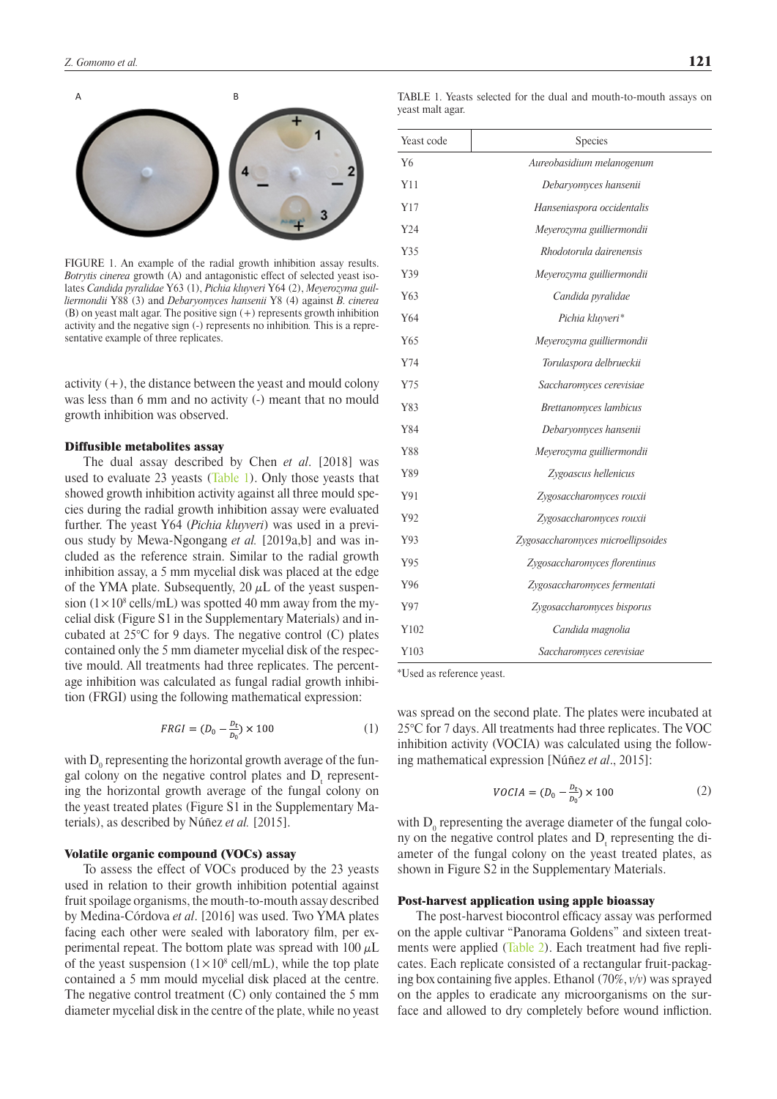

FIGURE 1. An example of the radial growth inhibition assay results. *Botrytis cinerea* growth (A) and antagonistic effect of selected yeast isolates *Candida pyralidae* Y63 (1), *Pichia kluyveri* Y64 (2), *Meyerozyma guilliermondii* Y88 (3) and *Debaryomyces hansenii* Y8 (4) against *B. cinerea*  (B) on yeast malt agar. The positive sign (+) represents growth inhibition activity and the negative sign (-) represents no inhibition*.* This is a representative example of three replicates.

activity  $(+)$ , the distance between the yeast and mould colony was less than 6 mm and no activity (-) meant that no mould growth inhibition was observed.

#### Diffusible metabolites assay

The dual assay described by Chen *et al*. [2018] was used to evaluate 23 yeasts [\(Table 1](#page-2-0)). Only those yeasts that showed growth inhibition activity against all three mould species during the radial growth inhibition assay were evaluated further. The yeast Y64 (*Pichia kluyveri*) was used in a previous study by Mewa-Ngongang *et al.* [2019a,b] and was included as the reference strain. Similar to the radial growth inhibition assay, a 5 mm mycelial disk was placed at the edge of the YMA plate. Subsequently, 20  $\mu$ L of the yeast suspension  $(1 \times 10^8 \text{ cells/mL})$  was spotted 40 mm away from the mycelial disk (Figure S1 in the Supplementary Materials) and incubated at 25°C for 9 days. The negative control (C) plates contained only the 5 mm diameter mycelial disk of the respective mould. All treatments had three replicates. The percentage inhibition was calculated as fungal radial growth inhibition (FRGI) using the following mathematical expression:

$$
FRGI = (D_0 - \frac{D_t}{D_0}) \times 100\tag{1}
$$

with  $\mathrm{D}_\mathrm{0}$  representing the horizontal growth average of the fungal colony on the negative control plates and  $D_t$  representing the horizontal growth average of the fungal colony on the yeast treated plates (Figure S1 in the Supplementary Materials), as described by Núñez *et al.* [2015].

# Volatile organic compound (VOCs) assay

To assess the effect of VOCs produced by the 23 yeasts used in relation to their growth inhibition potential against fruit spoilage organisms, the mouth-to-mouth assay described by Medina-Córdova *et al*. [2016] was used. Two YMA plates facing each other were sealed with laboratory film, per experimental repeat. The bottom plate was spread with  $100 \mu L$ of the yeast suspension  $(1 \times 10^8 \text{ cell/mL})$ , while the top plate contained a 5 mm mould mycelial disk placed at the centre. The negative control treatment (C) only contained the 5 mm diameter mycelial disk in the centre of the plate, while no yeast

<span id="page-2-0"></span>TABLE 1. Yeasts selected for the dual and mouth-to-mouth assays on yeast malt agar.

| Yeast code | Species                            |
|------------|------------------------------------|
| Y6         | Aureobasidium melanogenum          |
| Y11        | Debaryomyces hansenii              |
| Y17        | Hanseniaspora occidentalis         |
| Y24        | Meyerozyma guilliermondii          |
| Y35        | Rhodotorula dairenensis            |
| Y39        | Meyerozyma guilliermondii          |
| Y63        | Candida pyralidae                  |
| Y64        | Pichia kluyveri*                   |
| Y65        | Meyerozyma guilliermondii          |
| Y74        | Torulaspora delbrueckii            |
| Y75        | Saccharomyces cerevisiae           |
| Y83        | Brettanomyces lambicus             |
| Y84        | Debaryomyces hansenii              |
| Y88        | Meyerozyma guilliermondii          |
| Y89        | Zygoascus hellenicus               |
| Y91        | Zygosaccharomyces rouxii           |
| Y92        | Zygosaccharomyces rouxii           |
| Y93        | Zygosaccharomyces microellipsoides |
| Y95        | Zygosaccharomyces florentinus      |
| Y96        | Zygosaccharomyces fermentati       |
| Y97        | Zygosaccharomyces bisporus         |
| Y102       | Candida magnolia                   |
| Y103       | Saccharomyces cerevisiae           |

\*Used as reference yeast.

was spread on the second plate. The plates were incubated at 25°C for 7 days. All treatments had three replicates. The VOC inhibition activity (VOCIA) was calculated using the following mathematical expression [Núñez *et al*., 2015]:

$$
VOCIA = (D_0 - \frac{D_t}{D_0}) \times 100
$$
 (2)

with  $D_0$  representing the average diameter of the fungal colony on the negative control plates and  $D_t$  representing the diameter of the fungal colony on the yeast treated plates, as shown in Figure S2 in the Supplementary Materials.

#### Post-harvest application using apple bioassay

The post-harvest biocontrol efficacy assay was performed on the apple cultivar "Panorama Goldens" and sixteen treat-ments were applied [\(Table 2](#page-3-0)). Each treatment had five replicates. Each replicate consisted of a rectangular fruit-packaging box containing five apples. Ethanol (70%, *v/v*) was sprayed on the apples to eradicate any microorganisms on the surface and allowed to dry completely before wound infliction.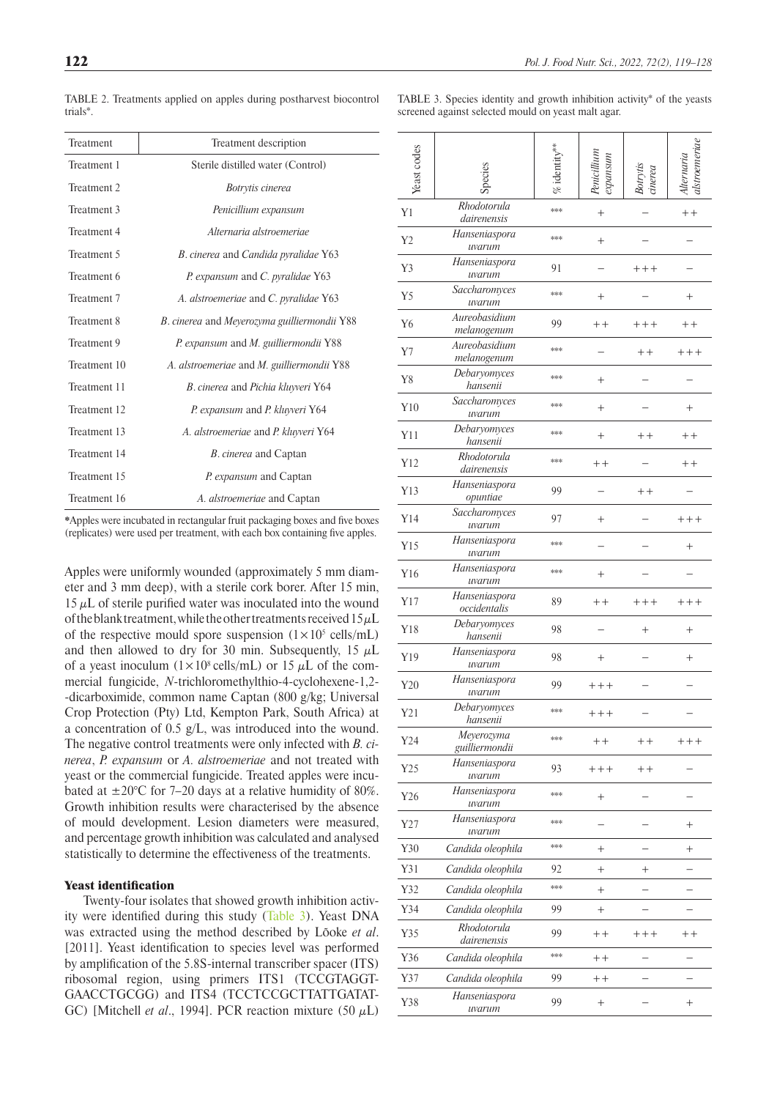| trials*.     |                                              |
|--------------|----------------------------------------------|
| Treatment    | Treatment description                        |
| Treatment 1  | Sterile distilled water (Control)            |
| Treatment 2  | Botrytis cinerea                             |
| Treatment 3  | Penicillium expansum                         |
| Treatment 4  | Alternaria alstroemeriae                     |
| Treatment 5  | B. cinerea and Candida pyralidae Y63         |
| Treatment 6  | P. expansum and C. pyralidae Y63             |
| Treatment 7  | A. alstroemeriae and C. pyralidae Y63        |
| Treatment 8  | B. cinerea and Meyerozyma guilliermondii Y88 |
| Treatment 9  | P. expansum and M. guilliermondii Y88        |
| Treatment 10 | A. alstroemeriae and M. guilliermondii Y88   |
| Treatment 11 | B. cinerea and Pichia kluyveri Y64           |
| Treatment 12 | P. expansum and P. kluyveri Y64              |
| Treatment 13 | A. alstroemeriae and P. kluyveri Y64         |
| Treatment 14 | <i>B. cinerea</i> and Captan                 |
| Treatment 15 | P. expansum and Captan                       |
| Treatment 16 | A. alstroemeriae and Captan                  |

<span id="page-3-0"></span>TABLE 2. Treatments applied on apples during postharvest biocontrol

\*Apples were incubated in rectangular fruit packaging boxes and five boxes (replicates) were used per treatment, with each box containing five apples.

Apples were uniformly wounded (approximately 5 mm diameter and 3 mm deep), with a sterile cork borer. After 15 min,  $15 \mu L$  of sterile purified water was inoculated into the wound of the blank treatment, while the other treatments received  $15 \mu L$ of the respective mould spore suspension  $(1 \times 10^5 \text{ cells/mL})$ and then allowed to dry for 30 min. Subsequently, 15  $\mu$ L of a yeast inoculum  $(1 \times 10^8 \text{ cells/mL})$  or 15  $\mu$ L of the commercial fungicide, *N*-trichloromethylthio-4-cyclohexene-1,2- -dicarboximide, common name Captan (800 g/kg; Universal Crop Protection (Pty) Ltd, Kempton Park, South Africa) at a concentration of 0.5 g/L, was introduced into the wound. The negative control treatments were only infected with *B. cinerea*, *P. expansum* or *A. alstroemeriae* and not treated with yeast or the commercial fungicide. Treated apples were incubated at  $\pm 20^{\circ}$ C for 7–20 days at a relative humidity of 80%. Growth inhibition results were characterised by the absence of mould development. Lesion diameters were measured, and percentage growth inhibition was calculated and analysed statistically to determine the effectiveness of the treatments.

# Yeast identification

Twenty-four isolates that showed growth inhibition activity were identified during this study [\(Table 3](#page-3-1)). Yeast DNA was extracted using the method described by [Lõoke](https://www.future-science.com/doi/full/10.2144/000113672) *et al*. [2011]. Yeast identification to species level was performed by amplification of the 5.8S-internal transcriber spacer (ITS) ribosomal region, using primers ITS1 (TCCGTAGGT-GAACCTGCGG) and ITS4 (TCCTCCGCTTATTGATAT-GC) [Mitchell *et al.*, 1994]. PCR reaction mixture  $(50 \mu L)$ 

<span id="page-3-1"></span>

| TABLE 3. Species identity and growth inhibition activity* of the yeasts |  |  |  |  |
|-------------------------------------------------------------------------|--|--|--|--|
| screened against selected mould on yeast malt agar.                     |  |  |  |  |

| Yeast codes |                               | $%$ identity $^{**}$ | expansum | Botrytis<br>cinerea             | alstroemeria<br>Alternaria |
|-------------|-------------------------------|----------------------|----------|---------------------------------|----------------------------|
| Y1          | Rhodotorula<br>dairenensis    | ***                  | $^{+}$   |                                 | $+ +$                      |
| Y2          | Hanseniaspora<br>uvarum       | ***                  | $^{+}$   |                                 |                            |
| Y3          | Hanseniaspora<br>uvarum       | 91                   |          | $+++$                           |                            |
| Y5          | Saccharomyces<br>uvarum       | ***                  | $^{+}$   |                                 | $^{+}$                     |
| Y6          | Aureobasidium<br>melanogenum  | 99                   | $+ +$    | $+++$                           | $+ +$                      |
| Y7          | Aureobasidium<br>melanogenum  | ***                  |          | $^{\mathrm{+}}$ $^{\mathrm{+}}$ | $++++$                     |
| Y8          | Debaryomyces<br>hansenii      | ***                  | $^{+}$   |                                 |                            |
| Y10         | Saccharomyces<br>uvarum       | ***                  | $^{+}$   |                                 | $^{+}$                     |
| Y11         | Debaryomyces<br>hansenii      | ***                  | $^{+}$   | $+ +$                           | $+ +$                      |
| Y12         | Rhodotorula<br>dairenensis    | ***                  | $++$     |                                 | $^+$                       |
| Y13         | Hanseniaspora<br>opuntiae     | 99                   |          | $+ +$                           |                            |
| Y14         | Saccharomyces<br>uvarum       | 97                   | $^{+}$   |                                 | $++++$                     |
| Y15         | Hanseniaspora<br>uvarum       | ***                  |          |                                 | $^{+}$                     |
| Y16         | Hanseniaspora<br>uvarum       | ***                  | $^{+}$   |                                 |                            |
| Y17         | Hanseniaspora<br>occidentalis | 89                   | $++$     | $+++$                           | $++++$                     |
| Y18         | Debaryomyces<br>hansenii      | 98                   |          | $^{+}$                          | $^{+}$                     |
| Y19         | Hanseniaspora<br>uvarum       | 98                   | $^{+}$   |                                 | $^{+}$                     |
| Y20         | Hanseniaspora<br>uvarum       | 99                   | $++++$   |                                 |                            |
| Y21         | Debaryomyces<br>hansenii      |                      | $++++$   |                                 |                            |
| Y24         | Meyerozyma<br>guilliermondii  | ***                  | $++$     | $+ +$                           | $++++$                     |
| Y25         | Hanseniaspora<br>uvarum       | 93                   | $++++$   | $+ +$                           |                            |
| Y26         | Hanseniaspora<br>uvarum       | ***                  | $^{+}$   |                                 |                            |
| Y27         | Hanseniaspora<br>uvarum       | ***                  |          |                                 | $^{+}$                     |
| Y30         | Candida oleophila             | ***                  | $^{+}$   |                                 | $^{+}$                     |
| Y31         | Candida oleophila             | 92                   | $\,+\,$  | $^{+}$                          |                            |
| Y32         | Candida oleophila             | $***$                | $^{+}$   |                                 |                            |
| Y34         | Candida oleophila             | 99                   | $^{+}$   |                                 |                            |
| Y35         | Rhodotorula<br>dairenensis    | 99                   | $++$     | $+++$                           | $+ +$                      |
| Y36         | Candida oleophila             | ***                  | $+ +$    |                                 |                            |
| Y37         | Candida oleophila             | 99                   | $+ +$    |                                 |                            |
| Y38         | Hanseniaspora<br>uvarum       | 99                   | $^+$     |                                 | $^+$                       |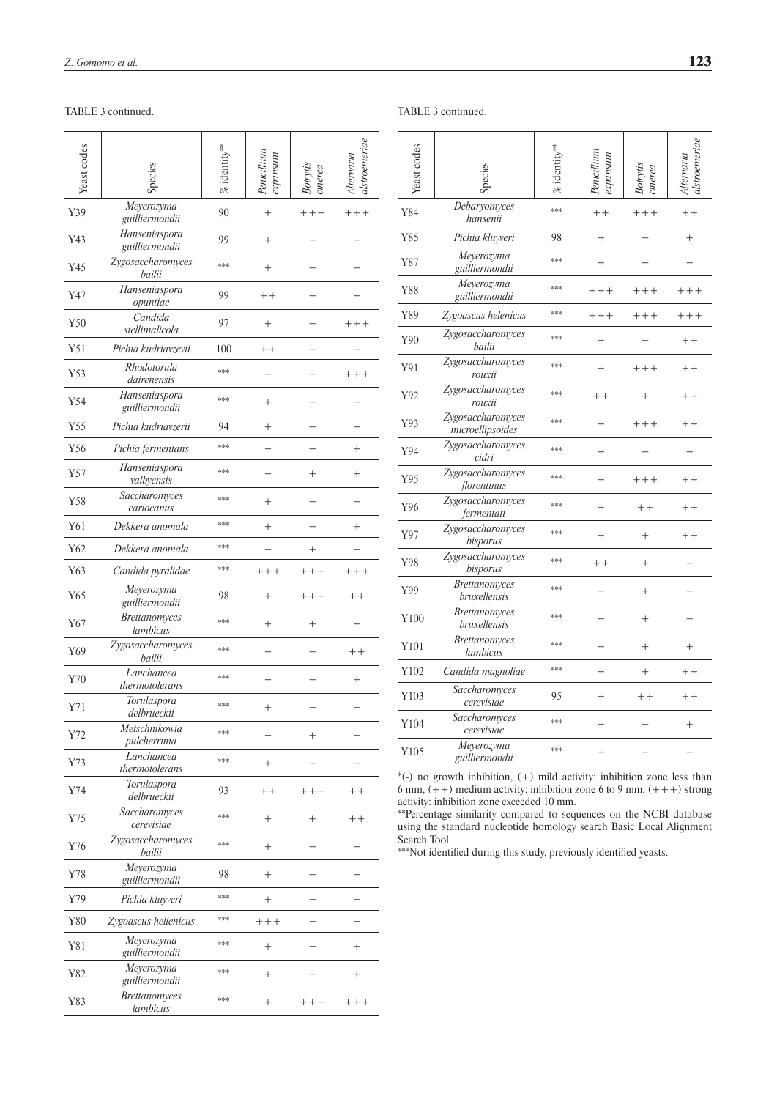# TABLE 3 continued. TABLE 3 continued.

| Meyerozyma<br>Y39<br>90<br>$++++$<br>$^{+}$<br>$++++$<br>guilliermondii<br>Hanseniaspora<br>99<br>Y43<br>$^{+}$<br>guilliermondii<br>Zygosaccharomyces<br>***<br>Y45<br>$^{+}$<br>bailii<br>Hanseniaspora<br>Y47<br>99<br>$+ +$<br>opuntiae<br>Candida<br>Y50<br>97<br>$^{+}$<br>$++++$<br>stellimalicola<br>Y51<br>Pichia kudriavzevii<br>100<br>$+ +$<br>Rhodotorula<br>***<br>Y53<br>$++++$<br>dairenensis<br>Hanseniaspora<br>***<br>Y54<br>$^{+}$<br>guilliermondii<br>Pichia kudriavzerii<br>Y55<br>94<br>$^{+}$<br>***<br>Y56<br>Pichia fermentans<br>$^+$<br>Hanseniaspora<br>***<br>Y57<br>$^{+}$<br>$^{+}$<br>valbyensis<br>Saccharomyces<br>***<br>Y58<br>$^{+}$<br>cariocanus<br>***<br>Y61<br>Dekkera anomala<br>$^{+}$<br>$^{+}$<br>***<br>Y62<br>Dekkera anomala<br>$^{+}$<br>***<br>Y63<br>Candida pyralidae<br>$++++$<br>$++++$<br>$++++$<br>Meyerozyma<br>Y65<br>98<br>$^{+}$<br>$++++$<br>$+ +$<br>guilliermondii<br><i>Brettanomyces</i><br>***<br>Y67<br>$^{+}$<br>$^+$<br>lambicus<br>Zygosaccharomyces<br>***<br>Y69<br>$+ +$<br>bailii<br>Lanchancea<br>***<br>Y70<br>$^{+}$<br>thermotolerans<br>Torulaspora<br>***<br>Y71<br>$^+$<br>delbrueckii<br>Metschnikowia<br>***<br>Y72<br>$^+$<br>pulcherrima<br>Lanchancea<br>***<br>Y73<br>$^{+}$<br>thermotolerans<br>Torulaspora<br>Y74<br>93<br>$+ +$<br>$+++$<br>$++$<br>delbrueckii<br>Saccharomyces<br>***<br>Y75<br>$^{+}$<br>$^{+}$<br>$++$<br>cerevisiae<br>Zygosaccharomyces<br>***<br>Y76<br>$^{+}$<br>bailii<br>Meyerozyma<br>Y78<br>98<br>$^{+}$<br>guilliermondii<br>***<br>Y79<br>Pichia kluyveri<br>$\hspace{0.1mm} +$<br>***<br>${\rm Y}80$<br>Zygoascus hellenicus<br>$++++$<br>Meyerozyma<br>***<br>Y81<br>$^{+}$<br>$^+$<br>guilliermondii<br>Meyerozyma<br>***<br>Y82<br>$^{+}$<br>$^{+}$<br>guilliermondii<br><b>Brettanomyces</b><br>***<br>Y83<br>$^{+}$<br>$++++$<br>$++++$<br>lambicus | Yeast codes |  | inerea |  |
|---------------------------------------------------------------------------------------------------------------------------------------------------------------------------------------------------------------------------------------------------------------------------------------------------------------------------------------------------------------------------------------------------------------------------------------------------------------------------------------------------------------------------------------------------------------------------------------------------------------------------------------------------------------------------------------------------------------------------------------------------------------------------------------------------------------------------------------------------------------------------------------------------------------------------------------------------------------------------------------------------------------------------------------------------------------------------------------------------------------------------------------------------------------------------------------------------------------------------------------------------------------------------------------------------------------------------------------------------------------------------------------------------------------------------------------------------------------------------------------------------------------------------------------------------------------------------------------------------------------------------------------------------------------------------------------------------------------------------------------------------------------------------------------------------------------------------------------------------------------------------------------|-------------|--|--------|--|
|                                                                                                                                                                                                                                                                                                                                                                                                                                                                                                                                                                                                                                                                                                                                                                                                                                                                                                                                                                                                                                                                                                                                                                                                                                                                                                                                                                                                                                                                                                                                                                                                                                                                                                                                                                                                                                                                                       |             |  |        |  |
|                                                                                                                                                                                                                                                                                                                                                                                                                                                                                                                                                                                                                                                                                                                                                                                                                                                                                                                                                                                                                                                                                                                                                                                                                                                                                                                                                                                                                                                                                                                                                                                                                                                                                                                                                                                                                                                                                       |             |  |        |  |
|                                                                                                                                                                                                                                                                                                                                                                                                                                                                                                                                                                                                                                                                                                                                                                                                                                                                                                                                                                                                                                                                                                                                                                                                                                                                                                                                                                                                                                                                                                                                                                                                                                                                                                                                                                                                                                                                                       |             |  |        |  |
|                                                                                                                                                                                                                                                                                                                                                                                                                                                                                                                                                                                                                                                                                                                                                                                                                                                                                                                                                                                                                                                                                                                                                                                                                                                                                                                                                                                                                                                                                                                                                                                                                                                                                                                                                                                                                                                                                       |             |  |        |  |
|                                                                                                                                                                                                                                                                                                                                                                                                                                                                                                                                                                                                                                                                                                                                                                                                                                                                                                                                                                                                                                                                                                                                                                                                                                                                                                                                                                                                                                                                                                                                                                                                                                                                                                                                                                                                                                                                                       |             |  |        |  |
|                                                                                                                                                                                                                                                                                                                                                                                                                                                                                                                                                                                                                                                                                                                                                                                                                                                                                                                                                                                                                                                                                                                                                                                                                                                                                                                                                                                                                                                                                                                                                                                                                                                                                                                                                                                                                                                                                       |             |  |        |  |
|                                                                                                                                                                                                                                                                                                                                                                                                                                                                                                                                                                                                                                                                                                                                                                                                                                                                                                                                                                                                                                                                                                                                                                                                                                                                                                                                                                                                                                                                                                                                                                                                                                                                                                                                                                                                                                                                                       |             |  |        |  |
|                                                                                                                                                                                                                                                                                                                                                                                                                                                                                                                                                                                                                                                                                                                                                                                                                                                                                                                                                                                                                                                                                                                                                                                                                                                                                                                                                                                                                                                                                                                                                                                                                                                                                                                                                                                                                                                                                       |             |  |        |  |
|                                                                                                                                                                                                                                                                                                                                                                                                                                                                                                                                                                                                                                                                                                                                                                                                                                                                                                                                                                                                                                                                                                                                                                                                                                                                                                                                                                                                                                                                                                                                                                                                                                                                                                                                                                                                                                                                                       |             |  |        |  |
|                                                                                                                                                                                                                                                                                                                                                                                                                                                                                                                                                                                                                                                                                                                                                                                                                                                                                                                                                                                                                                                                                                                                                                                                                                                                                                                                                                                                                                                                                                                                                                                                                                                                                                                                                                                                                                                                                       |             |  |        |  |
|                                                                                                                                                                                                                                                                                                                                                                                                                                                                                                                                                                                                                                                                                                                                                                                                                                                                                                                                                                                                                                                                                                                                                                                                                                                                                                                                                                                                                                                                                                                                                                                                                                                                                                                                                                                                                                                                                       |             |  |        |  |
|                                                                                                                                                                                                                                                                                                                                                                                                                                                                                                                                                                                                                                                                                                                                                                                                                                                                                                                                                                                                                                                                                                                                                                                                                                                                                                                                                                                                                                                                                                                                                                                                                                                                                                                                                                                                                                                                                       |             |  |        |  |
|                                                                                                                                                                                                                                                                                                                                                                                                                                                                                                                                                                                                                                                                                                                                                                                                                                                                                                                                                                                                                                                                                                                                                                                                                                                                                                                                                                                                                                                                                                                                                                                                                                                                                                                                                                                                                                                                                       |             |  |        |  |
|                                                                                                                                                                                                                                                                                                                                                                                                                                                                                                                                                                                                                                                                                                                                                                                                                                                                                                                                                                                                                                                                                                                                                                                                                                                                                                                                                                                                                                                                                                                                                                                                                                                                                                                                                                                                                                                                                       |             |  |        |  |
|                                                                                                                                                                                                                                                                                                                                                                                                                                                                                                                                                                                                                                                                                                                                                                                                                                                                                                                                                                                                                                                                                                                                                                                                                                                                                                                                                                                                                                                                                                                                                                                                                                                                                                                                                                                                                                                                                       |             |  |        |  |
|                                                                                                                                                                                                                                                                                                                                                                                                                                                                                                                                                                                                                                                                                                                                                                                                                                                                                                                                                                                                                                                                                                                                                                                                                                                                                                                                                                                                                                                                                                                                                                                                                                                                                                                                                                                                                                                                                       |             |  |        |  |
|                                                                                                                                                                                                                                                                                                                                                                                                                                                                                                                                                                                                                                                                                                                                                                                                                                                                                                                                                                                                                                                                                                                                                                                                                                                                                                                                                                                                                                                                                                                                                                                                                                                                                                                                                                                                                                                                                       |             |  |        |  |
|                                                                                                                                                                                                                                                                                                                                                                                                                                                                                                                                                                                                                                                                                                                                                                                                                                                                                                                                                                                                                                                                                                                                                                                                                                                                                                                                                                                                                                                                                                                                                                                                                                                                                                                                                                                                                                                                                       |             |  |        |  |
|                                                                                                                                                                                                                                                                                                                                                                                                                                                                                                                                                                                                                                                                                                                                                                                                                                                                                                                                                                                                                                                                                                                                                                                                                                                                                                                                                                                                                                                                                                                                                                                                                                                                                                                                                                                                                                                                                       |             |  |        |  |
|                                                                                                                                                                                                                                                                                                                                                                                                                                                                                                                                                                                                                                                                                                                                                                                                                                                                                                                                                                                                                                                                                                                                                                                                                                                                                                                                                                                                                                                                                                                                                                                                                                                                                                                                                                                                                                                                                       |             |  |        |  |
|                                                                                                                                                                                                                                                                                                                                                                                                                                                                                                                                                                                                                                                                                                                                                                                                                                                                                                                                                                                                                                                                                                                                                                                                                                                                                                                                                                                                                                                                                                                                                                                                                                                                                                                                                                                                                                                                                       |             |  |        |  |
|                                                                                                                                                                                                                                                                                                                                                                                                                                                                                                                                                                                                                                                                                                                                                                                                                                                                                                                                                                                                                                                                                                                                                                                                                                                                                                                                                                                                                                                                                                                                                                                                                                                                                                                                                                                                                                                                                       |             |  |        |  |
|                                                                                                                                                                                                                                                                                                                                                                                                                                                                                                                                                                                                                                                                                                                                                                                                                                                                                                                                                                                                                                                                                                                                                                                                                                                                                                                                                                                                                                                                                                                                                                                                                                                                                                                                                                                                                                                                                       |             |  |        |  |
|                                                                                                                                                                                                                                                                                                                                                                                                                                                                                                                                                                                                                                                                                                                                                                                                                                                                                                                                                                                                                                                                                                                                                                                                                                                                                                                                                                                                                                                                                                                                                                                                                                                                                                                                                                                                                                                                                       |             |  |        |  |
|                                                                                                                                                                                                                                                                                                                                                                                                                                                                                                                                                                                                                                                                                                                                                                                                                                                                                                                                                                                                                                                                                                                                                                                                                                                                                                                                                                                                                                                                                                                                                                                                                                                                                                                                                                                                                                                                                       |             |  |        |  |
|                                                                                                                                                                                                                                                                                                                                                                                                                                                                                                                                                                                                                                                                                                                                                                                                                                                                                                                                                                                                                                                                                                                                                                                                                                                                                                                                                                                                                                                                                                                                                                                                                                                                                                                                                                                                                                                                                       |             |  |        |  |
|                                                                                                                                                                                                                                                                                                                                                                                                                                                                                                                                                                                                                                                                                                                                                                                                                                                                                                                                                                                                                                                                                                                                                                                                                                                                                                                                                                                                                                                                                                                                                                                                                                                                                                                                                                                                                                                                                       |             |  |        |  |
|                                                                                                                                                                                                                                                                                                                                                                                                                                                                                                                                                                                                                                                                                                                                                                                                                                                                                                                                                                                                                                                                                                                                                                                                                                                                                                                                                                                                                                                                                                                                                                                                                                                                                                                                                                                                                                                                                       |             |  |        |  |
|                                                                                                                                                                                                                                                                                                                                                                                                                                                                                                                                                                                                                                                                                                                                                                                                                                                                                                                                                                                                                                                                                                                                                                                                                                                                                                                                                                                                                                                                                                                                                                                                                                                                                                                                                                                                                                                                                       |             |  |        |  |
|                                                                                                                                                                                                                                                                                                                                                                                                                                                                                                                                                                                                                                                                                                                                                                                                                                                                                                                                                                                                                                                                                                                                                                                                                                                                                                                                                                                                                                                                                                                                                                                                                                                                                                                                                                                                                                                                                       |             |  |        |  |
|                                                                                                                                                                                                                                                                                                                                                                                                                                                                                                                                                                                                                                                                                                                                                                                                                                                                                                                                                                                                                                                                                                                                                                                                                                                                                                                                                                                                                                                                                                                                                                                                                                                                                                                                                                                                                                                                                       |             |  |        |  |

| Yeast codes |                                             |     |           | $i$ nerea |         |
|-------------|---------------------------------------------|-----|-----------|-----------|---------|
| Y84         | Debaryomyces<br>hansenii                    | *** | $++$      | $+++$     | $++$    |
| Y85         | Pichia kluyveri                             | 98  | $^{+}$    |           | $^{+}$  |
| Y87         | Meyerozyma<br>guilliermondii                | *** | $^{+}$    |           |         |
| Y88         | Meyerozyma<br>guilliermondii                | *** | $+++$     | $+++$     | $+++$   |
| Y89         | Zygoascus helenicus                         | *** | $+++$     | $+++$     | $++++$  |
| Y90         | Zygosaccharomyces<br>bailii                 | *** | $^{+}$    |           | $^{++}$ |
| Y91         | Zygosaccharomyces<br>rouxii                 | *** | $^{+}$    | $+++$     | $++$    |
| Y92         | Zygosaccharomyces<br>rouxii                 | *** | $++$      | $^+$      | $+ +$   |
| Y93         | Zygosaccharomyces<br>microellipsoides       | *** | $^{+}$    | $+++$     | $++$    |
| Y94         | Zygosaccharomyces<br>cidri                  | *** | $\ddot{}$ |           |         |
| Y95         | Zygosaccharomyces<br>florentinus            | *** | $^{+}$    | $+++$     | $+ +$   |
| Y96         | Zygosaccharomyces<br>fermentati             | *** | $^{+}$    | $++$      | $++$    |
| Y97         | Zygosaccharomyces<br>bisporus               | *** | $^{+}$    | $^{+}$    | $+ +$   |
| Y98         | Zygosaccharomyces<br>bisporus               | *** | $+ +$     | $\ddot{}$ |         |
| Y99         | <b>Brettanomyces</b><br>bruxellensis        | *** |           | $^{+}$    |         |
| Y100        | <b>Brettanomyces</b><br><i>bruxellensis</i> | *** |           | $^{+}$    |         |
| Y101        | <b>Brettanomyces</b><br>lambicus            | *** |           | $^{+}$    | $^{+}$  |
| Y102        | Candida magnoliae                           | *** | $^{+}$    | $^{+}$    | $++$    |
| Y103        | Saccharomyces<br>cerevisiae                 | 95  | $^{+}$    | $+ +$     | $++$    |
| Y104        | Saccharomyces<br>cerevisiae                 | *** | $^{+}$    |           | $^{+}$  |
| Y105        | Meyerozyma<br>guilliermondii                | *** | $^{+}$    |           |         |

\*(-) no growth inhibition, (+) mild activity: inhibition zone less than 6 mm,  $(++)$  medium activity: inhibition zone 6 to 9 mm,  $(++)$  strong activity: inhibition zone exceeded 10 mm.

\*\*Percentage similarity compared to sequences on the NCBI database using the standard nucleotide homology search Basic Local Alignment Search Tool.

\*\*\*Not identified during this study, previously identified yeasts.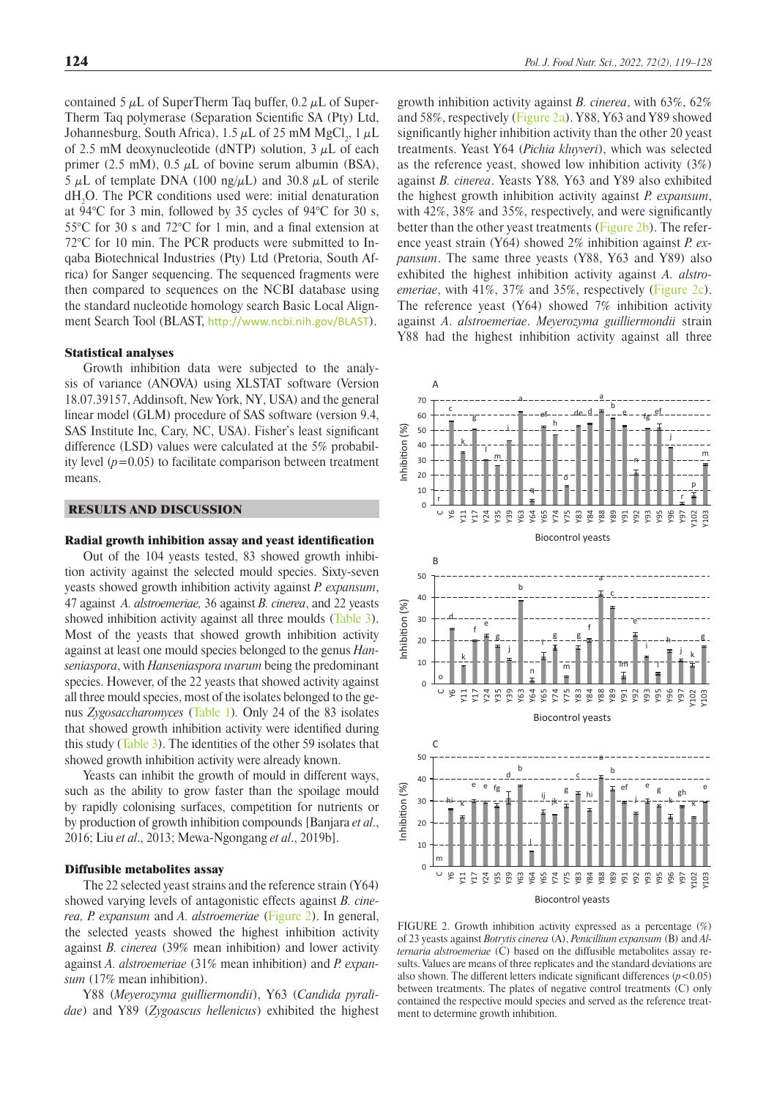contained 5  $\mu$ L of SuperTherm Taq buffer, 0.2  $\mu$ L of Super-Therm Taq polymerase (Separation Scientific SA (Pty) Ltd, Johannesburg, South Africa), 1.5  $\mu$ L of 25 mM MgCl<sub>2</sub>, 1  $\mu$ L of 2.5 mM deoxynucleotide (dNTP) solution,  $3 \mu L$  of each primer (2.5 mM),  $0.5 \mu L$  of bovine serum albumin (BSA), 5  $\mu$ L of template DNA (100 ng/ $\mu$ L) and 30.8  $\mu$ L of sterile  $dH_2O$ . The PCR conditions used were: initial denaturation at 94°C for 3 min, followed by 35 cycles of 94°C for 30 s, 55°C for 30 s and 72°C for 1 min, and a final extension at 72°C for 10 min. The PCR products were submitted to Inqaba Biotechnical Industries (Pty) Ltd (Pretoria, South Africa) for Sanger sequencing. The sequenced fragments were then compared to sequences on the NCBI database using the standard nucleotide homology search Basic Local Alignment Search Tool (BLAST, <http://www.ncbi.nih.gov/BLAST>).

## Statistical analyses

Growth inhibition data were subjected to the analysis of variance (ANOVA) using XLSTAT software (Version 18.07.39157, Addinsoft, New York, NY, USA) and the general linear model (GLM) procedure of SAS software (version 9.4, SAS Institute Inc, Cary, NC, USA). Fisher's least significant difference (LSD) values were calculated at the 5% probability level  $(p=0.05)$  to facilitate comparison between treatment means.

# RESULTS AND DISCUSSION

#### Radial growth inhibition assay and yeast identification

Out of the 104 yeasts tested, 83 showed growth inhibition activity against the selected mould species. Sixty-seven yeasts showed growth inhibition activity against *P. expansum*, 47 against *A. alstroemeriae,* 36 against *B. cinerea*, and 22 yeasts showed inhibition activity against all three moulds ([Table 3](#page-3-1)). Most of the yeasts that showed growth inhibition activity against at least one mould species belonged to the genus *Hanseniaspora*, with *Hanseniaspora uvarum* being the predominant species. However, of the 22 yeasts that showed activity against all three mould species, most of the isolates belonged to the genus *Zygosaccharomyces* ([Table 1](#page-2-0))*.* Only 24 of the 83 isolates that showed growth inhibition activity were identified during this study ([Table 3\)](#page-3-1). The identities of the other 59 isolates that showed growth inhibition activity were already known.

Yeasts can inhibit the growth of mould in different ways, such as the ability to grow faster than the spoilage mould by rapidly colonising surfaces, competition for nutrients or by production of growth inhibition compounds [Banjara *et al*., 2016; Liu *et al*., 2013; Mewa-Ngongang *et al*., 2019b].

### Diffusible metabolites assay

The 22 selected yeast strains and the reference strain (Y64) showed varying levels of antagonistic effects against *B. cinerea, P. expansum* and *A. alstroemeriae* ([Figure 2\)](#page-5-0). In general, the selected yeasts showed the highest inhibition activity against *B. cinerea* (39% mean inhibition) and lower activity against *A. alstroemeriae* (31% mean inhibition) and *P. expansum* (17% mean inhibition).

Y88 (*Meyerozyma guilliermondii*), Y63 (*Candida pyralidae*) and Y89 (*Zygoascus hellenicus*) exhibited the highest

growth inhibition activity against *B. cinerea*, with 63%, 62% and 58%, respectively ([Figure 2a](#page-5-0)). Y88, Y63 and Y89 showed significantly higher inhibition activity than the other 20 yeast treatments. Yeast Y64 (*Pichia kluyveri*), which was selected as the reference yeast, showed low inhibition activity (3%) against *B. cinerea*. Yeasts Y88*,* Y63 and Y89 also exhibited the highest growth inhibition activity against *P. expansum*, with 42%, 38% and 35%, respectively, and were significantly better than the other yeast treatments [\(Figure 2b\)](#page-5-0). The reference yeast strain (Y64) showed 2% inhibition against *P. expansum*. The same three yeasts (Y88, Y63 and Y89) also exhibited the highest inhibition activity against *A. alstroemeriae*, with 41%, 37% and 35%, respectively ([Figure 2c](#page-5-0)). The reference yeast  $(Y64)$  showed 7% inhibition activity against *A*. *alstroemeriae*. *Meyerozyma guilliermondii* strain Y88 had the highest inhibition activity against all three

<span id="page-5-0"></span>

FIGURE 2. Growth inhibition activity expressed as a percentage (%) of 23 yeasts against *Botrytis cinerea* (A), *Penicillium expansum* (B) and *Alternaria alstroemeriae* (C) based on the diffusible metabolites assay results. Values are means of three replicates and the standard deviations are also shown. The different letters indicate significant differences  $(p<0.05)$ between treatments. The plates of negative control treatments (C) only contained the respective mould species and served as the reference treatment to determine growth inhibition.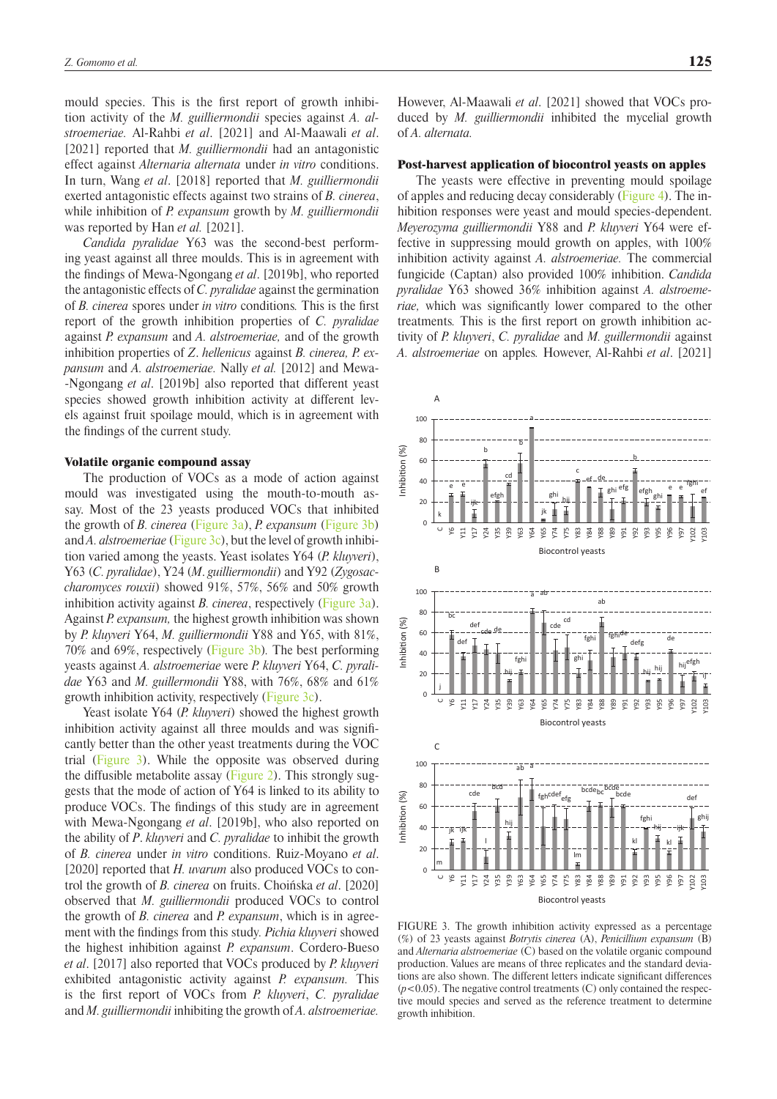mould species. This is the first report of growth inhibition activity of the *M. guilliermondii* species against *A. alstroemeriae.* Al-Rahbi *et al*. [2021] and Al-Maawali *et al*. [2021] reported that *M. guilliermondii* had an antagonistic effect against *Alternaria alternata* under *in vitro* conditions. In turn, Wang *et al*. [2018] reported that *M. guilliermondii* exerted antagonistic effects against two strains of *B. cinerea*, while inhibition of *P. expansum* growth by *M. guilliermondii* was reported by Han *et al.* [2021].

*Candida pyralidae* Y63 was the second-best performing yeast against all three moulds. This is in agreement with the findings of Mewa-Ngongang *et al*. [2019b], who reported the antagonistic effects of *C. pyralidae* against the germination of *B. cinerea* spores under *in vitro* conditions*.* This is the first report of the growth inhibition properties of *C. pyralidae* against *P. expansum* and *A. alstroemeriae,* and of the growth inhibition properties of *Z*. *hellenicus* against *B. cinerea, P. expansum* and *A. alstroemeriae.* Nally *et al.* [2012] and Mewa- -Ngongang *et al*. [2019b] also reported that different yeast species showed growth inhibition activity at different levels against fruit spoilage mould, which is in agreement with the findings of the current study.

# Volatile organic compound assay

The production of VOCs as a mode of action against mould was investigated using the mouth-to-mouth assay. Most of the 23 yeasts produced VOCs that inhibited the growth of *B. cinerea* ([Figure 3a](#page-6-0)), *P. expansum* ([Figure 3b](#page-6-0)) and *A. alstroemeriae* ([Figure 3c](#page-6-0)), but the level of growth inhibition varied among the yeasts. Yeast isolates Y64 (*P. kluyveri*), Y63 (*C. pyralidae*), Y24 (*M*. *guilliermondii*) and Y92 (*Zygosaccharomyces rouxii*) showed 91%, 57%, 56% and 50% growth inhibition activity against *B. cinerea*, respectively [\(Figure 3a](#page-6-0)). Against *P. expansum,* the highest growth inhibition was shown by *P. kluyveri* Y64, *M. guilliermondii* Y88 and Y65, with 81%, 70% and 69%, respectively ([Figure 3b](#page-6-0))*.* The best performing yeasts against *A. alstroemeriae* were *P. kluyveri* Y64, *C. pyralidae* Y63 and *M. guillermondii* Y88, with 76%, 68% and 61% growth inhibition activity, respectively [\(Figure 3c](#page-6-0)).

Yeast isolate Y64 (*P. kluyveri*) showed the highest growth inhibition activity against all three moulds and was significantly better than the other yeast treatments during the VOC trial ([Figure 3](#page-6-0)). While the opposite was observed during the diffusible metabolite assay ([Figure 2](#page-5-0)). This strongly suggests that the mode of action of Y64 is linked to its ability to produce VOCs. The findings of this study are in agreement with Mewa-Ngongang *et al*. [2019b], who also reported on the ability of *P*. *kluyveri* and *C. pyralidae* to inhibit the growth of *B. cinerea* under *in vitro* conditions. Ruiz-Moyano *et al*. [2020] reported that *H. uvarum* also produced VOCs to control the growth of *B. cinerea* on fruits. Choińska *et al*. [2020] observed that *M. guilliermondii* produced VOCs to control the growth of *B. cinerea* and *P. expansum*, which is in agreement with the findings from this study*. Pichia kluyveri* showed the highest inhibition against *P. expansum*. Cordero-Bueso *et al*. [2017] also reported that VOCs produced by *P. kluyveri* exhibited antagonistic activity against *P. expansum.* This is the first report of VOCs from *P. kluyveri*, *C. pyralidae* and *M. guilliermondii* inhibiting the growth of *A. alstroemeriae.*

However, Al-Maawali *et al*. [2021] showed that VOCs produced by *M. guilliermondii* inhibited the mycelial growth of *A. alternata.*

## Post-harvest application of biocontrol yeasts on apples

The yeasts were effective in preventing mould spoilage of apples and reducing decay considerably ([Figure 4\)](#page-7-0). The inhibition responses were yeast and mould species-dependent. *Meyerozyma guilliermondii* Y88 and *P. kluyveri* Y64 were effective in suppressing mould growth on apples, with 100% inhibition activity against *A. alstroemeriae.* The commercial fungicide (Captan) also provided 100% inhibition. *Candida pyralidae* Y63 showed 36% inhibition against *A. alstroemeriae,* which was significantly lower compared to the other treatments*.* This is the first report on growth inhibition activity of *P. kluyveri*, *C. pyralidae* and *M. guillermondii* against *A. alstroemeriae* on apples*.* However, Al-Rahbi *et al*. [2021]

<span id="page-6-0"></span>

FIGURE 3. The growth inhibition activity expressed as a percentage (%) of 23 yeasts against *Botrytis cinerea* (A), *Penicillium expansum* (B) and *Alternaria alstroemeriae* (C) based on the volatile organic compound production. Values are means of three replicates and the standard deviations are also shown. The different letters indicate significant differences  $(p<0.05)$ . The negative control treatments  $(C)$  only contained the respective mould species and served as the reference treatment to determine growth inhibition.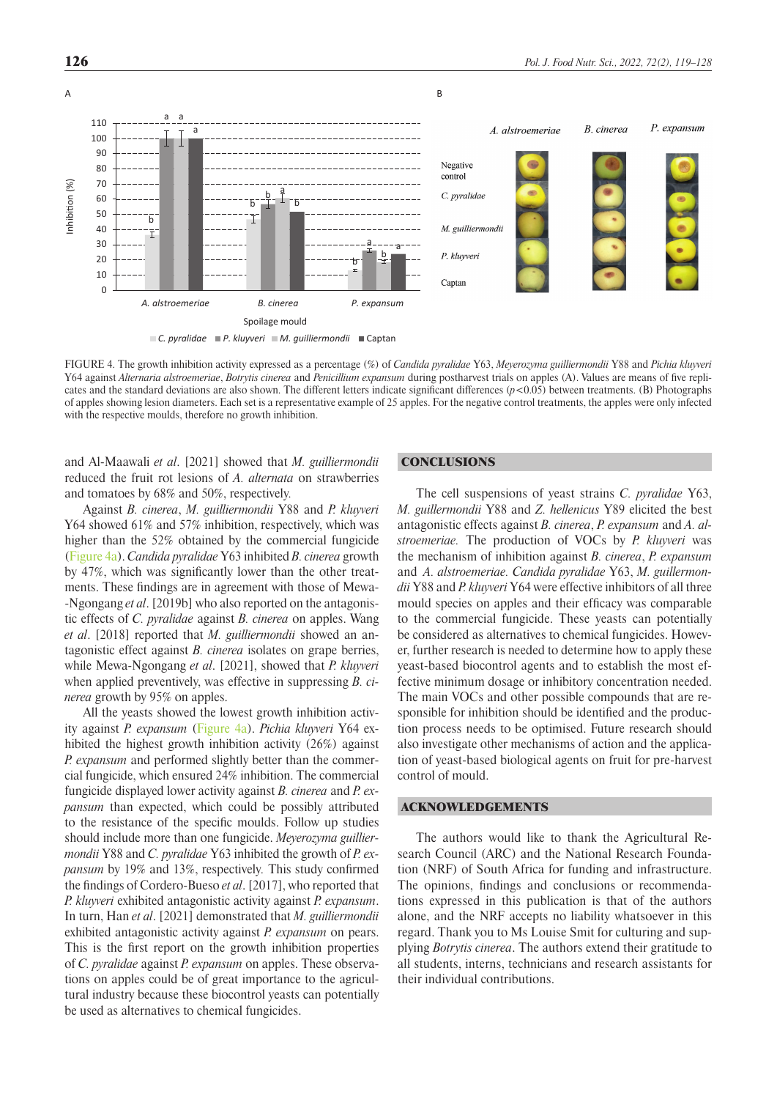<span id="page-7-0"></span>

FIGURE 4. The growth inhibition activity expressed as a percentage (%) of *Candida pyralidae* Y63, *Meyerozyma guilliermondii* Y88 and *Pichia kluyveri* Y64 against *Alternaria alstroemeriae*, *Botrytis cinerea* and *Penicillium expansum* during postharvest trials on apples (A). Values are means of five replicates and the standard deviations are also shown. The different letters indicate significant differences (*p*<0.05) between treatments. (B) Photographs of apples showing lesion diameters. Each set is a representative example of 25 apples. For the negative control treatments, the apples were only infected with the respective moulds, therefore no growth inhibition.

and Al-Maawali *et al*. [2021] showed that *M. guilliermondii* reduced the fruit rot lesions of *A. alternata* on strawberries and tomatoes by 68% and 50%, respectively*.*

Against *B. cinerea*, *M. guilliermondii* Y88 and *P. kluyveri* Y64 showed 61% and 57% inhibition, respectively, which was higher than the 52% obtained by the commercial fungicide ([Figure 4a](#page-7-0)). *Candida pyralidae* Y63 inhibited *B. cinerea* growth by 47%, which was significantly lower than the other treatments. These findings are in agreement with those of Mewa- -Ngongang *et al*. [2019b] who also reported on the antagonistic effects of *C. pyralidae* against *B. cinerea* on apples. Wang *et al*. [2018] reported that *M. guilliermondii* showed an antagonistic effect against *B. cinerea* isolates on grape berries, while Mewa-Ngongang *et al*. [2021], showed that *P. kluyveri* when applied preventively, was effective in suppressing *B. cinerea* growth by 95% on apples.

All the yeasts showed the lowest growth inhibition activity against *P. expansum* ([Figure 4a](#page-7-0)). *Pichia kluyveri* Y64 exhibited the highest growth inhibition activity (26%) against *P. expansum* and performed slightly better than the commercial fungicide, which ensured 24% inhibition. The commercial fungicide displayed lower activity against *B. cinerea* and *P. expansum* than expected, which could be possibly attributed to the resistance of the specific moulds. Follow up studies should include more than one fungicide. *Meyerozyma guilliermondii* Y88 and *C. pyralidae* Y63 inhibited the growth of *P. expansum* by 19% and 13%, respectively*.* This study confirmed the findings of Cordero-Bueso *et al*. [2017], who reported that *P. kluyveri* exhibited antagonistic activity against *P. expansum*. In turn, Han *et al*. [2021] demonstrated that *M. guilliermondii* exhibited antagonistic activity against *P. expansum* on pears. This is the first report on the growth inhibition properties of *C. pyralidae* against *P. expansum* on apples. These observations on apples could be of great importance to the agricultural industry because these biocontrol yeasts can potentially be used as alternatives to chemical fungicides.

# **CONCLUSIONS**

The cell suspensions of yeast strains *C. pyralidae* Y63, *M. guillermondii* Y88 and *Z. hellenicus* Y89 elicited the best antagonistic effects against *B. cinerea*, *P. expansum* and *A. alstroemeriae.* The production of VOCs by *P. kluyveri* was the mechanism of inhibition against *B. cinerea*, *P. expansum* and *A. alstroemeriae. Candida pyralidae* Y63, *M. guillermondii* Y88 and *P. kluyveri* Y64 were effective inhibitors of all three mould species on apples and their efficacy was comparable to the commercial fungicide. These yeasts can potentially be considered as alternatives to chemical fungicides. However, further research is needed to determine how to apply these yeast-based biocontrol agents and to establish the most effective minimum dosage or inhibitory concentration needed. The main VOCs and other possible compounds that are responsible for inhibition should be identified and the production process needs to be optimised. Future research should also investigate other mechanisms of action and the application of yeast-based biological agents on fruit for pre-harvest control of mould.

# ACKNOWLEDGEMENTS

The authors would like to thank the Agricultural Research Council (ARC) and the National Research Foundation (NRF) of South Africa for funding and infrastructure. The opinions, findings and conclusions or recommendations expressed in this publication is that of the authors alone, and the NRF accepts no liability whatsoever in this regard. Thank you to Ms Louise Smit for culturing and supplying *Botrytis cinerea*. The authors extend their gratitude to all students, interns, technicians and research assistants for their individual contributions.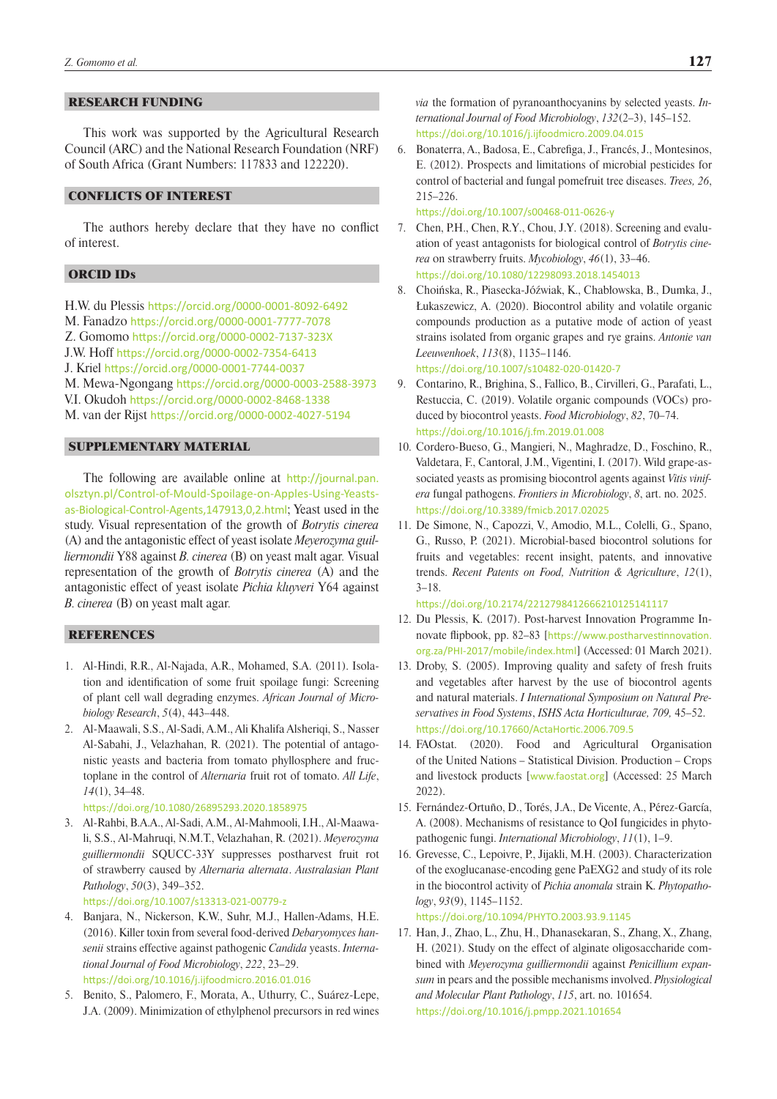## RESEARCH FUNDING

This work was supported by the Agricultural Research Council (ARC) and the National Research Foundation (NRF) of South Africa (Grant Numbers: 117833 and 122220).

# CONFLICTS OF INTEREST

The authors hereby declare that they have no conflict of interest.

# ORCID IDs

H.W. du Plessis <https://orcid.org/0000-0001-8092-6492> M. Fanadzo <https://orcid.org/0000-0001-7777-7078> Z. Gomomo [https://orcid.org/0000-0002-7137-323X](https://protect-za.mimecast.com/s/NE0xCElvymhWqzmBTwgVY1?domain=orcid.org) J.W. Hoff <https://orcid.org/0000-0002-7354-6413> J. Kriel <https://orcid.org/0000-0001-7744-0037> M. Mewa-Ngongang <https://orcid.org/0000-0003-2588-3973> V.I. Okudoh <https://orcid.org/0000-0002-8468-1338> M. van der Rijst <https://orcid.org/0000-0002-4027-5194>

## SUPPLEMENTARY MATERIAL

The following are available online at [http://journal.pan.](http://journal.pan.olsztyn.pl/Control-of-Mould-Spoilage-on-Apples-Using-Yeasts-as-Biological-Control-Agents,147913,0,2.html) [olsztyn.pl/Control-of-Mould-Spoilage-on-Apples-Using-Yeasts](http://journal.pan.olsztyn.pl/Control-of-Mould-Spoilage-on-Apples-Using-Yeasts-as-Biological-Control-Agents,147913,0,2.html)[as-Biological-Control-Agents,147913,0,2.html](http://journal.pan.olsztyn.pl/Control-of-Mould-Spoilage-on-Apples-Using-Yeasts-as-Biological-Control-Agents,147913,0,2.html); Yeast used in the study. Visual representation of the growth of *Botrytis cinerea*  (A) and the antagonistic effect of yeast isolate *Meyerozyma guilliermondii* Y88 against *B. cinerea* (B) on yeast malt agar*.* Visual representation of the growth of *Botrytis cinerea* (A) and the antagonistic effect of yeast isolate *Pichia kluyveri* Y64 against *B. cinerea* (B) on yeast malt agar*.*

# **REFERENCES**

- 1. Al-Hindi, R.R., Al-Najada, A.R., Mohamed, S.A. (2011). Isolation and identification of some fruit spoilage fungi: Screening of plant cell wall degrading enzymes. *African Journal of Microbiology Research*, *5*(4), 443–448.
- 2. Al-Maawali, S.S., Al-Sadi, A.M., Ali Khalifa Alsheriqi, S., Nasser Al-Sabahi, J., Velazhahan, R. (2021). The potential of antagonistic yeasts and bacteria from tomato phyllosphere and fructoplane in the control of *Alternaria* fruit rot of tomato. *All Life*, *14*(1), 34–48.

```
https://doi.org/10.1080/26895293.2020.1858975
```
3. Al-Rahbi, B.A.A., Al-Sadi, A.M., Al-Mahmooli, I.H., Al-Maawali, S.S., Al-Mahruqi, N.M.T., Velazhahan, R. (2021). *Meyerozyma guilliermondii* SQUCC-33Y suppresses postharvest fruit rot of strawberry caused by *Alternaria alternata*. *Australasian Plant Pathology*, *50*(3), 349–352.

<https://doi.org/10.1007/s13313-021-00779-z>

- 4. Banjara, N., Nickerson, K.W., Suhr, M.J., Hallen-Adams, H.E. (2016). Killer toxin from several food-derived *Debaryomyces hansenii* strains effective against pathogenic *Candida* yeasts. *International Journal of Food Microbiology*, *222*, 23–29. <https://doi.org/10.1016/j.ijfoodmicro.2016.01.016>
- 5. Benito, S., Palomero, F., Morata, A., Uthurry, C., Suárez-Lepe, J.A. (2009). Minimization of ethylphenol precursors in red wines

*via* the formation of pyranoanthocyanins by selected yeasts. *International Journal of Food Microbiology*, *132*(2–3), 145–152. <https://doi.org/10.1016/j.ijfoodmicro.2009.04.015>

6. Bonaterra, A., Badosa, E., Cabrefiga, J., Francés, J., Montesinos, E. (2012). Prospects and limitations of microbial pesticides for control of bacterial and fungal pomefruit tree diseases. *Trees, 26*, 215–226.

<https://doi.org/10.1007/s00468-011-0626-y>

- 7. Chen, P.H., Chen, R.Y., Chou, J.Y. (2018). Screening and evaluation of yeast antagonists for biological control of *Botrytis cinerea* on strawberry fruits. *Mycobiology*, *46*(1), 33–46. <https://doi.org/10.1080/12298093.2018.1454013>
- 8. Choińska, R., Piasecka-Jóźwiak, K., Chabłowska, B., Dumka, J., Łukaszewicz, A. (2020). Biocontrol ability and volatile organic compounds production as a putative mode of action of yeast strains isolated from organic grapes and rye grains. *Antonie van Leeuwenhoek*, *113*(8), 1135–1146. <https://doi.org/10.1007/s10482-020-01420-7>
- 9. Contarino, R., Brighina, S., Fallico, B., Cirvilleri, G., Parafati, L., Restuccia, C. (2019). Volatile organic compounds (VOCs) produced by biocontrol yeasts. *Food Microbiology*, *82*, 70–74. <https://doi.org/10.1016/j.fm.2019.01.008>
- 10. Cordero-Bueso, G., Mangieri, N., Maghradze, D., Foschino, R., Valdetara, F., Cantoral, J.M., Vigentini, I. (2017). Wild grape-associated yeasts as promising biocontrol agents against *Vitis vinifera* fungal pathogens. *Frontiers in Microbiology*, *8*, art. no. 2025. <https://doi.org/10.3389/fmicb.2017.02025>
- 11. De Simone, N., Capozzi, V., Amodio, M.L., Colelli, G., Spano, G., Russo, P. (2021). Microbial-based biocontrol solutions for fruits and vegetables: recent insight, patents, and innovative trends. *Recent Patents on Food, Nutrition & Agriculture*, *12*(1), 3–18.

<https://doi.org/10.2174/2212798412666210125141117>

- 12. Du Plessis, K. (2017). Post-harvest Innovation Programme Innovate flipbook, pp. 82–83 [[https://www.postharvestinnovation.](https://www.postharvestinnovation.org.za/PHI-2017/mobile/index.html) [org.za/PHI-2017/mobile/index.html](https://www.postharvestinnovation.org.za/PHI-2017/mobile/index.html)] (Accessed: 01 March 2021).
- 13. Droby, S. (2005). Improving quality and safety of fresh fruits and vegetables after harvest by the use of biocontrol agents and natural materials. *I International Symposium on Natural Preservatives in Food Systems*, *ISHS Acta Horticulturae, 709,* 45–52. https://doi.org/10.17660/ActaHortic.2006.709.5
- 14. FAOstat. (2020). Food and Agricultural Organisation of the United Nations – Statistical Division. Production – Crops and livestock products [[www.faostat.org](http://)] (Accessed: 25 March 2022).
- 15. Fernández-Ortuño, D., Torés, J.A., De Vicente, A., Pérez-García, A. (2008). Mechanisms of resistance to QoI fungicides in phytopathogenic fungi. *International Microbiology*, *11*(1), 1–9.
- 16. Grevesse, C., Lepoivre, P., Jijakli, M.H. (2003). Characterization of the exoglucanase-encoding gene PaEXG2 and study of its role in the biocontrol activity of *Pichia anomala* strain K. *Phytopathology*, *93*(9), 1145–1152.

<https://doi.org/10.1094/PHYTO.2003.93.9.1145>

17. Han, J., Zhao, L., Zhu, H., Dhanasekaran, S., Zhang, X., Zhang, H. (2021). Study on the effect of alginate oligosaccharide combined with *Meyerozyma guilliermondii* against *Penicillium expansum* in pears and the possible mechanisms involved. *Physiological and Molecular Plant Pathology*, *115*, art. no. 101654. <https://doi.org/10.1016/j.pmpp.2021.101654>